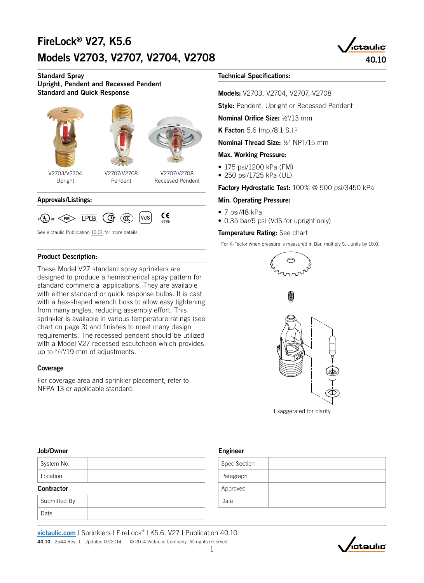# FireLock® V27, K5.6 Models V2703, V2707, V2704, V2708 40.10



Standard Spray Upright, Pendent and Recessed Pendent Standard and Quick Response





V2707/V2708 Pendent

V2703/V2704 Upright

V2707/V2708 Recessed Pendent

#### Approvals/Listings:



See Victaulic Publication [10.01](http://www.victaulic.com/en/search/?keyword=10.01) for more details.

#### Product Description:

These Model V27 standard spray sprinklers are designed to produce a hemispherical spray pattern for standard commercial applications. They are available with either standard or quick response bulbs. It is cast with a hex-shaped wrench boss to allow easy tightening from many angles, reducing assembly effort. This sprinkler is available in various temperature ratings (see chart on page 3) and finishes to meet many design requirements. The recessed pendent should be utilized with a Model V27 recessed escutcheon which provides up to 3/4"/19 mm of adjustments.

#### Coverage

For coverage area and sprinkler placement, refer to NFPA 13 or applicable standard.

#### Technical Specifications:

Models: V2703, V2704, V2707, V2708

**Style: Pendent, Upright or Recessed Pendent** 

Nominal Orifice Size: 1/2"/13 mm

**K Factor:** 5.6 Imp./8.1 S.I.<sup>1</sup>

Nominal Thread Size: 1/2" NPT/15 mm

#### Max. Working Pressure:

- 175 psi/1200 kPa (FM)
- 250 psi/1725 kPa (UL)

Factory Hydrostatic Test: 100% @ 500 psi/3450 kPa

#### Min. Operating Pressure:

- 7 psi/48 kPa
- 0.35 bar/5 psi (VdS for upright only)

#### Temperature Rating: See chart

<sup>1</sup> For K-Factor when pressure is measured in Bar, multiply S.I. units by 10.0.



## Job/Owner

| <b>Contractor</b> |  |
|-------------------|--|
| Location          |  |
| System No.        |  |

## Submitted By Date

### Engineer

[victaulic.com](http://www.victaulic.com/en/) | Sprinklers | FireLock® | K5.6, V27 | Publication 40.10 40.10 2544 Rev. J Updated 07/2014 © 2014 Victaulic Company. All rights reserved.

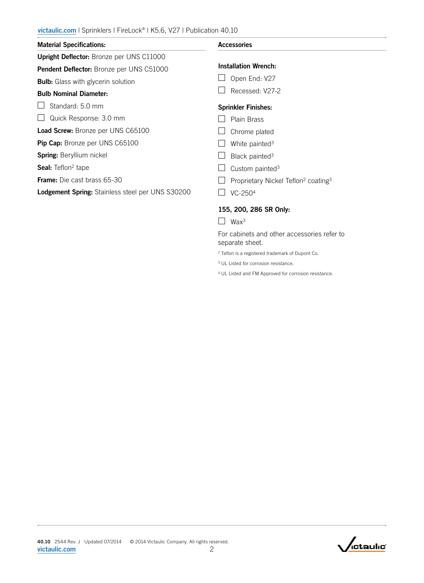| <b>Material Specifications:</b>                         | <b>Accessories</b>                                          |
|---------------------------------------------------------|-------------------------------------------------------------|
| Upright Deflector: Bronze per UNS C11000                |                                                             |
| <b>Pendent Deflector:</b> Bronze per UNS C51000         | <b>Installation Wrench:</b>                                 |
| <b>Bulb:</b> Glass with glycerin solution               | Open End: V27                                               |
| <b>Bulb Nominal Diameter:</b>                           | Recessed: V27-2                                             |
| Standard: 5.0 mm                                        | <b>Sprinkler Finishes:</b>                                  |
| Quick Response: 3.0 mm                                  | Plain Brass                                                 |
| <b>Load Screw: Bronze per UNS C65100</b>                | Chrome plated                                               |
| <b>Pip Cap:</b> Bronze per UNS C65100                   | White painted <sup>3</sup>                                  |
| <b>Spring: Beryllium nickel</b>                         | Black painted <sup>3</sup>                                  |
| <b>Seal:</b> Teflon <sup>2</sup> tape                   | Custom painted <sup>3</sup>                                 |
| <b>Frame:</b> Die cast brass 65-30                      | Proprietary Nickel Teflon <sup>2</sup> coating <sup>3</sup> |
| <b>Lodgement Spring: Stainless steel per UNS S30200</b> | VC-250 <sup>4</sup>                                         |
|                                                         | 155, 200, 286 SR Only:                                      |

 $\Box$  Wax<sup>3</sup>

For cabinets and other accessories refer to separate sheet.

2 Teflon is a registered trademark of Dupont Co.

3 UL Listed for corrosion resistance.

4 UL Listed and FM Approved for corrosion resistance.

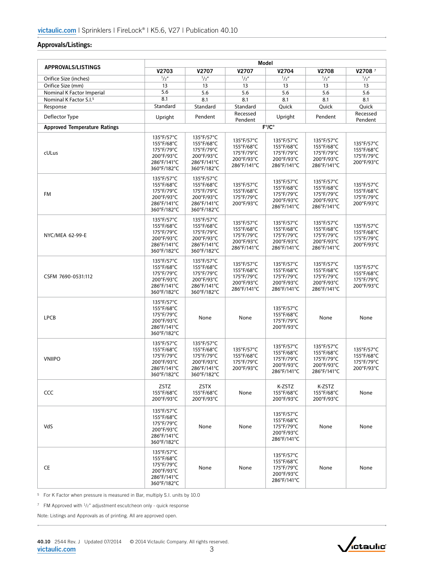### Approvals/Listings:

| <b>APPROVALS/LISTINGS</b>           | Model                                                                              |                                                                                    |                                                                     |                                                                     |                                                                     |                                                      |
|-------------------------------------|------------------------------------------------------------------------------------|------------------------------------------------------------------------------------|---------------------------------------------------------------------|---------------------------------------------------------------------|---------------------------------------------------------------------|------------------------------------------------------|
|                                     | V2703                                                                              | V2707                                                                              | V2707                                                               | V2704                                                               | V2708                                                               | V27087                                               |
| Orifice Size (inches)               | 1/2''                                                                              | 1/2''                                                                              | 1/2''                                                               | 1/2''                                                               | 1/2''                                                               | 1/2''                                                |
| Orifice Size (mm)                   | 13                                                                                 | 13                                                                                 | 13                                                                  | 13                                                                  | 13                                                                  | 13                                                   |
| Nominal K Factor Imperial           | 5.6                                                                                | 5.6                                                                                | 5.6                                                                 | 5.6                                                                 | 5.6                                                                 | 5.6                                                  |
| Nominal K Factor S.I. <sup>5</sup>  | 8.1                                                                                | 8.1                                                                                | 8.1                                                                 | 8.1                                                                 | 8.1                                                                 | 8.1                                                  |
| Response                            | Standard                                                                           | Standard                                                                           | Standard                                                            | Quick                                                               | Quick                                                               | Quick                                                |
| Deflector Type                      | Upright                                                                            | Pendent                                                                            | Recessed                                                            | Upright                                                             | Pendent                                                             | Recessed                                             |
|                                     |                                                                                    |                                                                                    | Pendent                                                             |                                                                     |                                                                     | Pendent                                              |
| <b>Approved Temperature Ratings</b> |                                                                                    |                                                                                    |                                                                     | $F^{\circ}/C^{\circ}$                                               |                                                                     |                                                      |
| cULus                               | 135°F/57°C<br>155°F/68°C<br>175°F/79°C<br>200°F/93°C<br>286°F/141°C<br>360°F/182°C | 135°F/57°C<br>155°F/68°C<br>175°F/79°C<br>200°F/93°C<br>286°F/141°C<br>360°F/182°C | 135°F/57°C<br>155°F/68°C<br>175°F/79°C<br>200°F/93°C<br>286°F/141°C | 135°F/57°C<br>155°F/68°C<br>175°F/79°C<br>200°F/93°C<br>286°F/141°C | 135°F/57°C<br>155°F/68°C<br>175°F/79°C<br>200°F/93°C<br>286°F/141°C | 135°F/57°C<br>155°F/68°C<br>175°F/79°C<br>200°F/93°C |
| FM                                  | 135°F/57°C<br>155°F/68°C<br>175°F/79°C<br>200°F/93°C<br>286°F/141°C<br>360°F/182°C | 135°F/57°C<br>155°F/68°C<br>175°F/79°C<br>200°F/93°C<br>286°F/141°C<br>360°F/182°C | 135°F/57°C<br>155°F/68°C<br>175°F/79°C<br>200°F/93°C                | 135°F/57°C<br>155°F/68°C<br>175°F/79°C<br>200°F/93°C<br>286°F/141°C | 135°F/57°C<br>155°F/68°C<br>175°F/79°C<br>200°F/93°C<br>286°F/141°C | 135°F/57°C<br>155°F/68°C<br>175°F/79°C<br>200°F/93°C |
| NYC/MEA 62-99-E                     | 135°F/57°C<br>155°F/68°C<br>175°F/79°C<br>200°F/93°C<br>286°F/141°C<br>360°F/182°C | 135°F/57°C<br>155°F/68°C<br>175°F/79°C<br>200°F/93°C<br>286°F/141°C<br>360°F/182°C | 135°F/57°C<br>155°F/68°C<br>175°F/79°C<br>200°F/93°C<br>286°F/141°C | 135°F/57°C<br>155°F/68°C<br>175°F/79°C<br>200°F/93°C<br>286°F/141°C | 135°F/57°C<br>155°F/68°C<br>175°F/79°C<br>200°F/93°C<br>286°F/141°C | 135°F/57°C<br>155°F/68°C<br>175°F/79°C<br>200°F/93°C |
| CSFM 7690-0531:112                  | 135°F/57°C<br>155°F/68°C<br>175°F/79°C<br>200°F/93°C<br>286°F/141°C<br>360°F/182°C | 135°F/57°C<br>155°F/68°C<br>175°F/79°C<br>200°F/93°C<br>286°F/141°C<br>360°F/182°C | 135°F/57°C<br>155°F/68°C<br>175°F/79°C<br>200°F/93°C<br>286°F/141°C | 135°F/57°C<br>155°F/68°C<br>175°F/79°C<br>200°F/93°C<br>286°F/141°C | 135°F/57°C<br>155°F/68°C<br>175°F/79°C<br>200°F/93°C<br>286°F/141°C | 135°F/57°C<br>155°F/68°C<br>175°F/79°C<br>200°F/93°C |
| <b>LPCB</b>                         | 135°F/57°C<br>155°F/68°C<br>175°F/79°C<br>200°F/93°C<br>286°F/141°C<br>360°F/182°C | None                                                                               | None                                                                | 135°F/57°C<br>155°F/68°C<br>175°F/79°C<br>200°F/93°C                | None                                                                | None                                                 |
| <b>VNIIPO</b>                       | 135°F/57°C<br>155°F/68°C<br>175°F/79°C<br>200°F/93°C<br>286°F/141°C<br>360°F/182°C | 135°F/57°C<br>155°F/68°C<br>175°F/79°C<br>200°F/93°C<br>286°F/141°C<br>360°F/182°C | 135°F/57°C<br>155°F/68°C<br>175°F/79°C<br>200°F/93°C                | 135°F/57°C<br>155°F/68°C<br>175°F/79°C<br>200°F/93°C<br>286°F/141°C | 135°F/57°C<br>155°F/68°C<br>175°F/79°C<br>200°F/93°C<br>286°F/141°C | 135°F/57°C<br>155°F/68°C<br>175°F/79°C<br>200°F/93°C |
| <b>CCC</b>                          | ZSTZ<br>155°F/68°C<br>200°F/93°C                                                   | <b>ZSTX</b><br>155°F/68°C<br>200°F/93°C                                            | None                                                                | K-ZSTZ<br>155°F/68°C<br>200°F/93°C                                  | K-ZSTZ<br>155°F/68°C<br>200°F/93°C                                  | None                                                 |
| VdS                                 | 135°F/57°C<br>155°F/68°C<br>175°F/79°C<br>200°F/93°C<br>286°F/141°C<br>360°F/182°C | None                                                                               | None                                                                | 135°F/57°C<br>155°F/68°C<br>175°F/79°C<br>200°F/93°C<br>286°F/141°C | None                                                                | None                                                 |
| CE                                  | 135°F/57°C<br>155°F/68°C<br>175°F/79°C<br>200°F/93°C<br>286°F/141°C<br>360°F/182°C | None                                                                               | None                                                                | 135°F/57°C<br>155°F/68°C<br>175°F/79°C<br>200°F/93°C<br>286°F/141°C | None                                                                | None                                                 |

5 For K Factor when pressure is measured in Bar, multiply S.I. units by 10.0

<sup>7</sup> FM Approved with 1/2" adjustment escutcheon only - quick response

Note: Listings and Approvals as of printing. All are approved open.

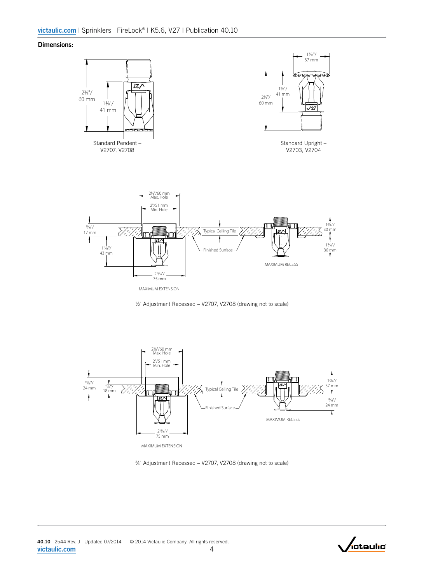#### Dimensions:







¾" Adjustment Recessed – V2707, V2708 (drawing not to scale)

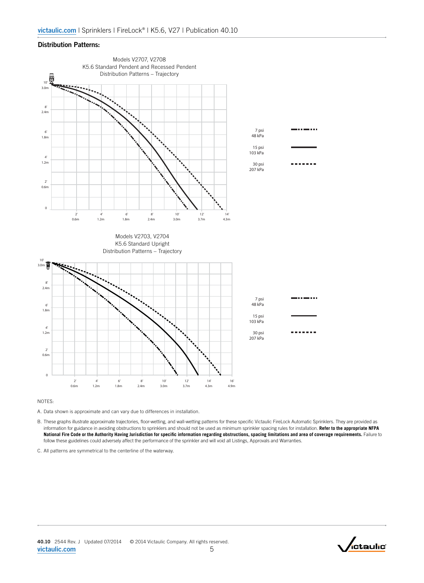#### Distribution Patterns:



 $\overline{\phantom{a}}$ 

6'

NOTES:

A. Data shown is approximate and can vary due to differences in installation.

B. These graphs illustrate approximate trajectories, floor-wetting, and wall-wetting patterns for these specific Victaulic FireLock Automatic Sprinklers. They are provided as information for guidance in avoiding obstructions to sprinklers and should not be used as minimum sprinkler spacing rules for installation. **Refer to the appropriate NFPA National Fire Code or the Authority Having Jurisdiction for specific information regarding obstructions, spacing limitations and area of coverage requirements.** Failure to follow these guidelines could adversely affect the performance of the sprinkler and will void all Listings, Approvals and Warranties.

C. All patterns are symmetrical to the centerline of the waterway.